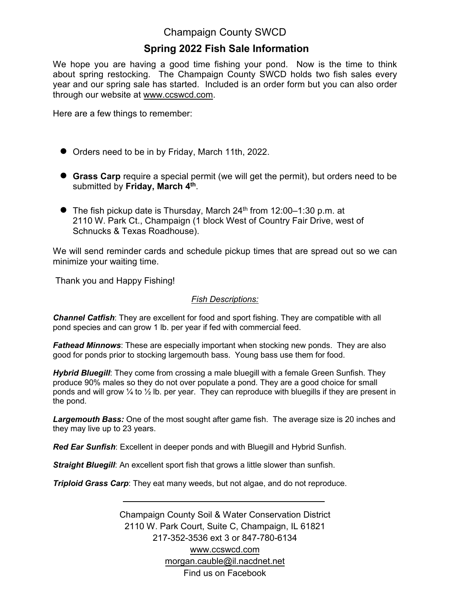## Champaign County SWCD

## **Spring 2022 Fish Sale Information**

We hope you are having a good time fishing your pond. Now is the time to think about spring restocking. The Champaign County SWCD holds two fish sales every year and our spring sale has started. Included is an order form but you can also order through our website at www.ccswcd.com.

Here are a few things to remember:

- Orders need to be in by Friday, March 11th, 2022.
- **Grass Carp** require a special permit (we will get the permit), but orders need to be submitted by **Friday, March 4 th** .
- $\bullet$  The fish pickup date is Thursday, March 24<sup>th</sup> from 12:00–1:30 p.m. at 2110 W. Park Ct., Champaign (1 block West of Country Fair Drive, west of Schnucks & Texas Roadhouse).

We will send reminder cards and schedule pickup times that are spread out so we can minimize your waiting time.

Thank you and Happy Fishing!

## *Fish Descriptions:*

*Channel Catfish*: They are excellent for food and sport fishing. They are compatible with all pond species and can grow 1 lb. per year if fed with commercial feed.

*Fathead Minnows*: These are especially important when stocking new ponds. They are also good for ponds prior to stocking largemouth bass. Young bass use them for food.

*Hybrid Bluegill*: They come from crossing a male bluegill with a female Green Sunfish. They produce 90% males so they do not over populate a pond. They are a good choice for small ponds and will grow  $\frac{1}{4}$  to  $\frac{1}{2}$  lb. per year. They can reproduce with bluegills if they are present in the pond.

*Largemouth Bass:* One of the most sought after game fish. The average size is 20 inches and they may live up to 23 years.

*Red Ear Sunfish*: Excellent in deeper ponds and with Bluegill and Hybrid Sunfish.

*Straight Bluegill*: An excellent sport fish that grows a little slower than sunfish.

*Triploid Grass Carp*: They eat many weeds, but not algae, and do not reproduce.

Champaign County Soil & Water Conservation District 2110 W. Park Court, Suite C, Champaign, IL 61821 217-352-3536 ext 3 or 847-780-6134 [www.ccswcd.com](http://www.ccswcd.com/) morg[an.cauble@il.nacdn](mailto:info@ccswcd.com)et.net Find us on Facebook